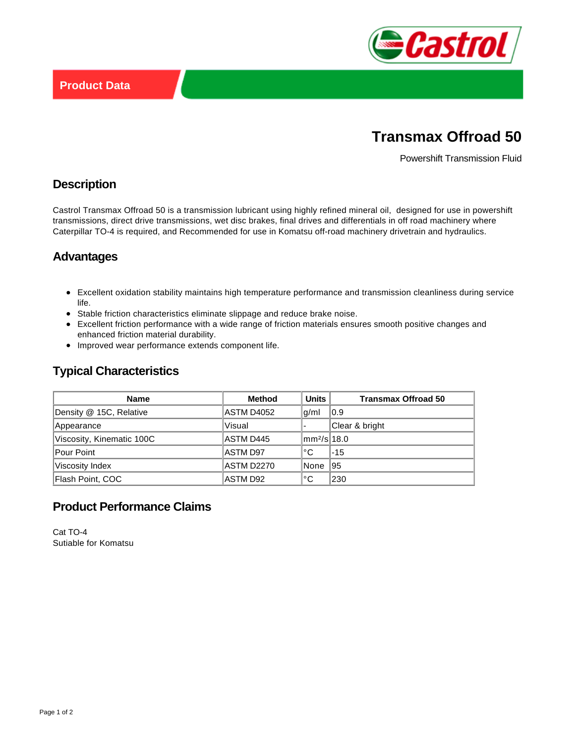

# **Transmax Offroad 50**

Powershift Transmission Fluid

#### **Description**

Castrol Transmax Offroad 50 is a transmission lubricant using highly refined mineral oil, designed for use in powershift transmissions, direct drive transmissions, wet disc brakes, final drives and differentials in off road machinery where Caterpillar TO-4 is required, and Recommended for use in Komatsu off-road machinery drivetrain and hydraulics.

#### **Advantages**

- Excellent oxidation stability maintains high temperature performance and transmission cleanliness during service life.
- Stable friction characteristics eliminate slippage and reduce brake noise.
- Excellent friction performance with a wide range of friction materials ensures smooth positive changes and enhanced friction material durability.
- Improved wear performance extends component life.

## **Typical Characteristics**

| <b>Name</b>               | <b>Method</b> | <b>Units</b>            | <b>Transmax Offroad 50</b> |
|---------------------------|---------------|-------------------------|----------------------------|
| Density @ 15C, Relative   | ASTM D4052    | g/ml                    | 0.9                        |
| Appearance                | Visual        |                         | Clear & bright             |
| Viscosity, Kinematic 100C | ASTM D445     | mm <sup>2</sup> /s 18.0 |                            |
| <b>Pour Point</b>         | ASTM D97      | °C                      | $-15$                      |
| Viscosity Index           | ASTM D2270    | None                    | 95                         |
| Flash Point, COC          | ASTM D92      | ۰с                      | 230                        |

## **Product Performance Claims**

Cat TO-4 Sutiable for Komatsu